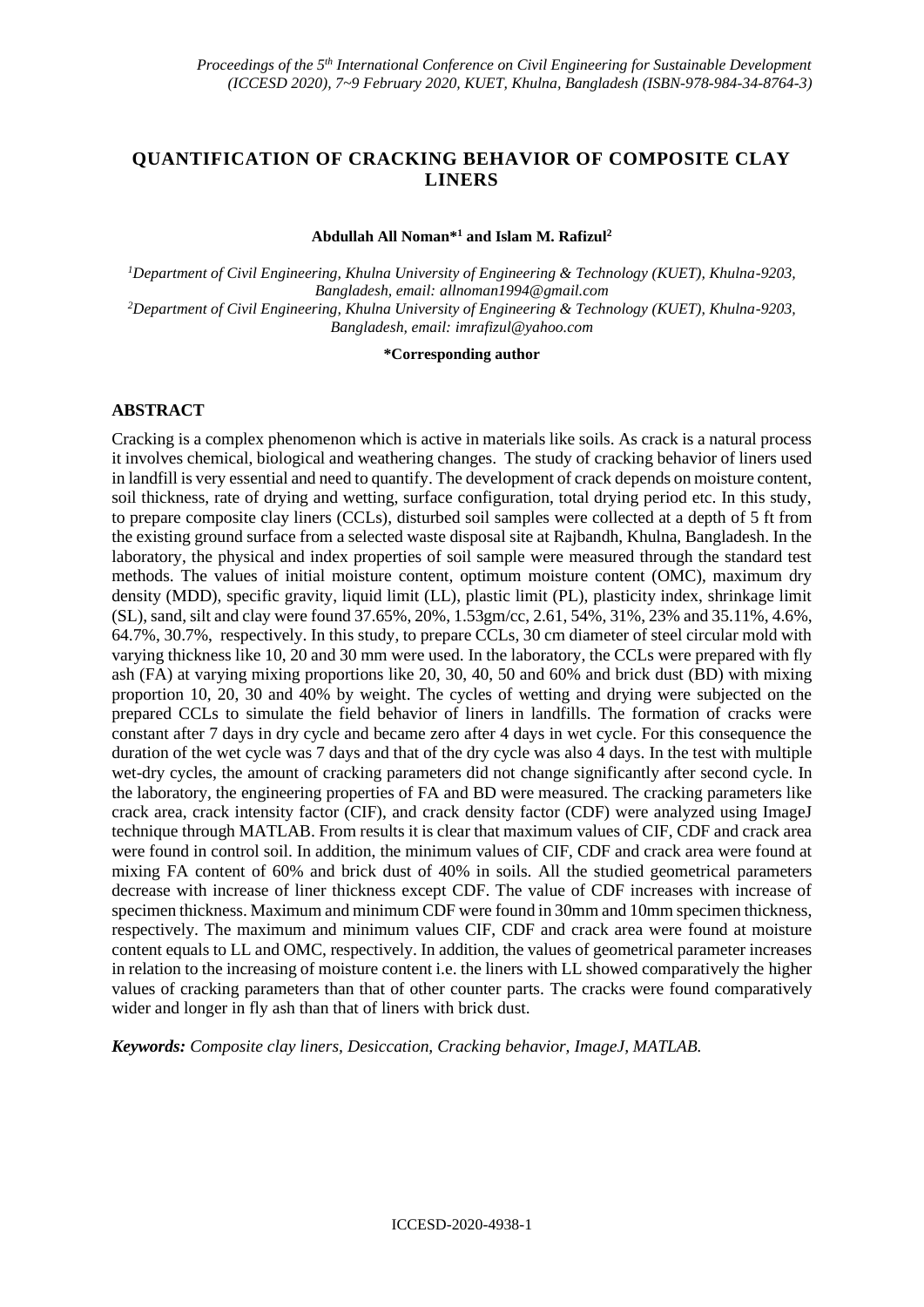## **QUANTIFICATION OF CRACKING BEHAVIOR OF COMPOSITE CLAY LINERS**

#### **Abdullah All Noman\*<sup>1</sup> and Islam M. Rafizul<sup>2</sup>**

*<sup>1</sup>Department of Civil Engineering, Khulna University of Engineering & Technology (KUET), Khulna-9203, Bangladesh, email: [allnoman1994@gmail.com](mailto:allnoman1994@gmail.com) <sup>2</sup>Department of Civil Engineering, Khulna University of Engineering & Technology (KUET), Khulna-9203, Bangladesh, email: [imrafizul@yahoo.com](mailto:imrafizul@yahoo.com)*

#### **\*Corresponding author**

#### **ABSTRACT**

Cracking is a complex phenomenon which is active in materials like soils. As crack is a natural process it involves chemical, biological and weathering changes. The study of cracking behavior of liners used in landfill is very essential and need to quantify. The development of crack depends on moisture content, soil thickness, rate of drying and wetting, surface configuration, total drying period etc. In this study, to prepare composite clay liners (CCLs), disturbed soil samples were collected at a depth of 5 ft from the existing ground surface from a selected waste disposal site at Rajbandh, Khulna, Bangladesh. In the laboratory, the physical and index properties of soil sample were measured through the standard test methods. The values of initial moisture content, optimum moisture content (OMC), maximum dry density (MDD), specific gravity, liquid limit (LL), plastic limit (PL), plasticity index, shrinkage limit (SL), sand, silt and clay were found 37.65%, 20%, 1.53gm/cc, 2.61, 54%, 31%, 23% and 35.11%, 4.6%, 64.7%, 30.7%, respectively. In this study, to prepare CCLs, 30 cm diameter of steel circular mold with varying thickness like 10, 20 and 30 mm were used. In the laboratory, the CCLs were prepared with fly ash (FA) at varying mixing proportions like 20, 30, 40, 50 and 60% and brick dust (BD) with mixing proportion 10, 20, 30 and 40% by weight. The cycles of wetting and drying were subjected on the prepared CCLs to simulate the field behavior of liners in landfills. The formation of cracks were constant after 7 days in dry cycle and became zero after 4 days in wet cycle. For this consequence the duration of the wet cycle was 7 days and that of the dry cycle was also 4 days. In the test with multiple wet-dry cycles, the amount of cracking parameters did not change significantly after second cycle. In the laboratory, the engineering properties of FA and BD were measured. The cracking parameters like crack area, crack intensity factor (CIF), and crack density factor (CDF) were analyzed using ImageJ technique through MATLAB. From results it is clear that maximum values of CIF, CDF and crack area were found in control soil. In addition, the minimum values of CIF, CDF and crack area were found at mixing FA content of 60% and brick dust of 40% in soils. All the studied geometrical parameters decrease with increase of liner thickness except CDF. The value of CDF increases with increase of specimen thickness. Maximum and minimum CDF were found in 30mm and 10mm specimen thickness, respectively. The maximum and minimum values CIF, CDF and crack area were found at moisture content equals to LL and OMC, respectively. In addition, the values of geometrical parameter increases in relation to the increasing of moisture content i.e. the liners with LL showed comparatively the higher values of cracking parameters than that of other counter parts. The cracks were found comparatively wider and longer in fly ash than that of liners with brick dust.

*Keywords: Composite clay liners, Desiccation, Cracking behavior, ImageJ, MATLAB.*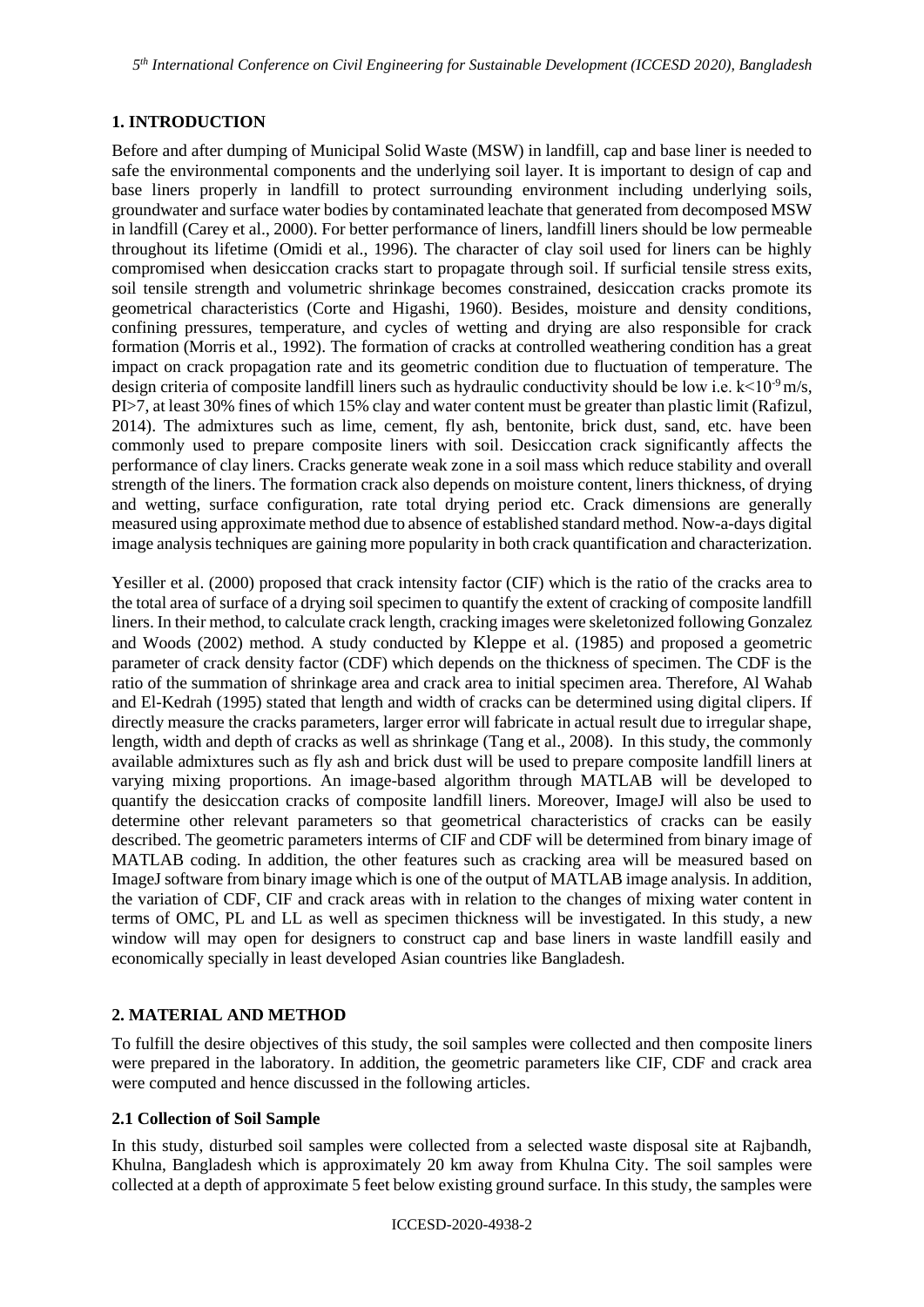*5 th International Conference on Civil Engineering for Sustainable Development (ICCESD 2020), Bangladesh*

## **1. INTRODUCTION**

Before and after dumping of Municipal Solid Waste (MSW) in landfill, cap and base liner is needed to safe the environmental components and the underlying soil layer. It is important to design of cap and base liners properly in landfill to protect surrounding environment including underlying soils, groundwater and surface water bodies by contaminated leachate that generated from decomposed MSW in landfill (Carey et al., 2000). For better performance of liners, landfill liners should be low permeable throughout its lifetime (Omidi et al., 1996). The character of clay soil used for liners can be highly compromised when desiccation cracks start to propagate through soil. If surficial tensile stress exits, soil tensile strength and volumetric shrinkage becomes constrained, desiccation cracks promote its geometrical characteristics (Corte and Higashi, 1960). Besides, moisture and density conditions, confining pressures, temperature, and cycles of wetting and drying are also responsible for crack formation (Morris et al., 1992). The formation of cracks at controlled weathering condition has a great impact on crack propagation rate and its geometric condition due to fluctuation of temperature. The design criteria of composite landfill liners such as hydraulic conductivity should be low i.e.  $k < 10^{-9}$  m/s, PI>7, at least 30% fines of which 15% clay and water content must be greater than plastic limit (Rafizul, 2014). The admixtures such as lime, cement, fly ash, bentonite, brick dust, sand, etc. have been commonly used to prepare composite liners with soil. Desiccation crack significantly affects the performance of clay liners. Cracks generate weak zone in a soil mass which reduce stability and overall strength of the liners. The formation crack also depends on moisture content, liners thickness, of drying and wetting, surface configuration, rate total drying period etc. Crack dimensions are generally measured using approximate method due to absence of established standard method. Now-a-days digital image analysis techniques are gaining more popularity in both crack quantification and characterization.

Yesiller et al. (2000) proposed that crack intensity factor (CIF) which is the ratio of the cracks area to the total area of surface of a drying soil specimen to quantify the extent of cracking of composite landfill liners. In their method, to calculate crack length, cracking images were skeletonized following Gonzalez and Woods (2002) method. A study conducted by Kleppe et al. (1985) and proposed a geometric parameter of crack density factor (CDF) which depends on the thickness of specimen. The CDF is the ratio of the summation of shrinkage area and crack area to initial specimen area. Therefore, Al Wahab and El-Kedrah (1995) stated that length and width of cracks can be determined using digital clipers. If directly measure the cracks parameters, larger error will fabricate in actual result due to irregular shape, length, width and depth of cracks as well as shrinkage (Tang et al., 2008). In this study, the commonly available admixtures such as fly ash and brick dust will be used to prepare composite landfill liners at varying mixing proportions. An image-based algorithm through MATLAB will be developed to quantify the desiccation cracks of composite landfill liners. Moreover, ImageJ will also be used to determine other relevant parameters so that geometrical characteristics of cracks can be easily described. The geometric parameters interms of CIF and CDF will be determined from binary image of MATLAB coding. In addition, the other features such as cracking area will be measured based on ImageJ software from binary image which is one of the output of MATLAB image analysis. In addition, the variation of CDF, CIF and crack areas with in relation to the changes of mixing water content in terms of OMC, PL and LL as well as specimen thickness will be investigated. In this study, a new window will may open for designers to construct cap and base liners in waste landfill easily and economically specially in least developed Asian countries like Bangladesh.

## **2. MATERIAL AND METHOD**

To fulfill the desire objectives of this study, the soil samples were collected and then composite liners were prepared in the laboratory. In addition, the geometric parameters like CIF, CDF and crack area were computed and hence discussed in the following articles.

## **2.1 Collection of Soil Sample**

In this study, disturbed soil samples were collected from a selected waste disposal site at Rajbandh, Khulna, Bangladesh which is approximately 20 km away from Khulna City. The soil samples were collected at a depth of approximate 5 feet below existing ground surface. In this study, the samples were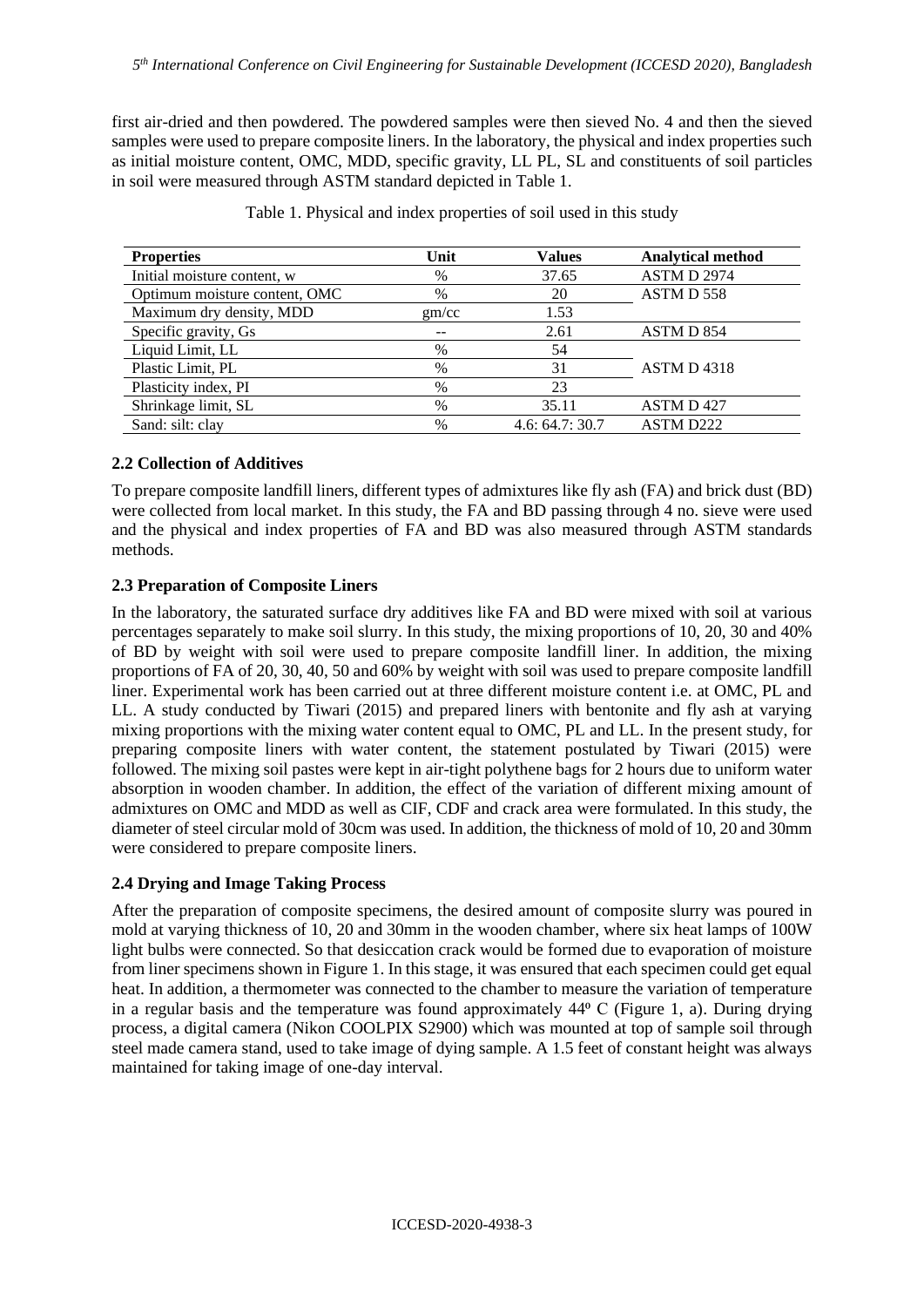first air-dried and then powdered. The powdered samples were then sieved No. 4 and then the sieved samples were used to prepare composite liners. In the laboratory, the physical and index properties such as initial moisture content, OMC, MDD, specific gravity, LL PL, SL and constituents of soil particles in soil were measured through ASTM standard depicted in Table 1.

| <b>Properties</b>             | Unit  | <b>Values</b> | <b>Analytical method</b> |
|-------------------------------|-------|---------------|--------------------------|
| Initial moisture content, w   | $\%$  | 37.65         | <b>ASTM D 2974</b>       |
| Optimum moisture content, OMC | $\%$  | 20            | ASTM D 558               |
| Maximum dry density, MDD      | gm/cc | 1.53          |                          |
| Specific gravity, Gs          |       | 2.61          | ASTM D 854               |
| Liquid Limit, LL              | $\%$  | 54            |                          |
| Plastic Limit, PL             | $\%$  | 31            | ASTM D4318               |
| Plasticity index, PI          | $\%$  | 23            |                          |
| Shrinkage limit, SL           | $\%$  | 35.11         | ASTM D427                |
| Sand: silt: clay              | $\%$  | 4.6:64.7:30.7 | ASTM D222                |

Table 1. Physical and index properties of soil used in this study

## **2.2 Collection of Additives**

To prepare composite landfill liners, different types of admixtures like fly ash (FA) and brick dust (BD) were collected from local market. In this study, the FA and BD passing through 4 no. sieve were used and the physical and index properties of FA and BD was also measured through ASTM standards methods.

## **2.3 Preparation of Composite Liners**

In the laboratory, the saturated surface dry additives like FA and BD were mixed with soil at various percentages separately to make soil slurry. In this study, the mixing proportions of 10, 20, 30 and 40% of BD by weight with soil were used to prepare composite landfill liner. In addition, the mixing proportions of FA of 20, 30, 40, 50 and 60% by weight with soil was used to prepare composite landfill liner. Experimental work has been carried out at three different moisture content i.e. at OMC, PL and LL. A study conducted by Tiwari (2015) and prepared liners with bentonite and fly ash at varying mixing proportions with the mixing water content equal to OMC, PL and LL. In the present study, for preparing composite liners with water content, the statement postulated by Tiwari (2015) were followed. The mixing soil pastes were kept in air-tight polythene bags for 2 hours due to uniform water absorption in wooden chamber. In addition, the effect of the variation of different mixing amount of admixtures on OMC and MDD as well as CIF, CDF and crack area were formulated. In this study, the diameter of steel circular mold of 30cm was used. In addition, the thickness of mold of 10, 20 and 30mm were considered to prepare composite liners.

## **2.4 Drying and Image Taking Process**

After the preparation of composite specimens, the desired amount of composite slurry was poured in mold at varying thickness of 10, 20 and 30mm in the wooden chamber, where six heat lamps of 100W light bulbs were connected. So that desiccation crack would be formed due to evaporation of moisture from liner specimens shown in Figure 1. In this stage, it was ensured that each specimen could get equal heat. In addition, a thermometer was connected to the chamber to measure the variation of temperature in a regular basis and the temperature was found approximately  $44^{\circ}$  C (Figure 1, a). During drying process, a digital camera (Nikon COOLPIX S2900) which was mounted at top of sample soil through steel made camera stand, used to take image of dying sample. A 1.5 feet of constant height was always maintained for taking image of one-day interval.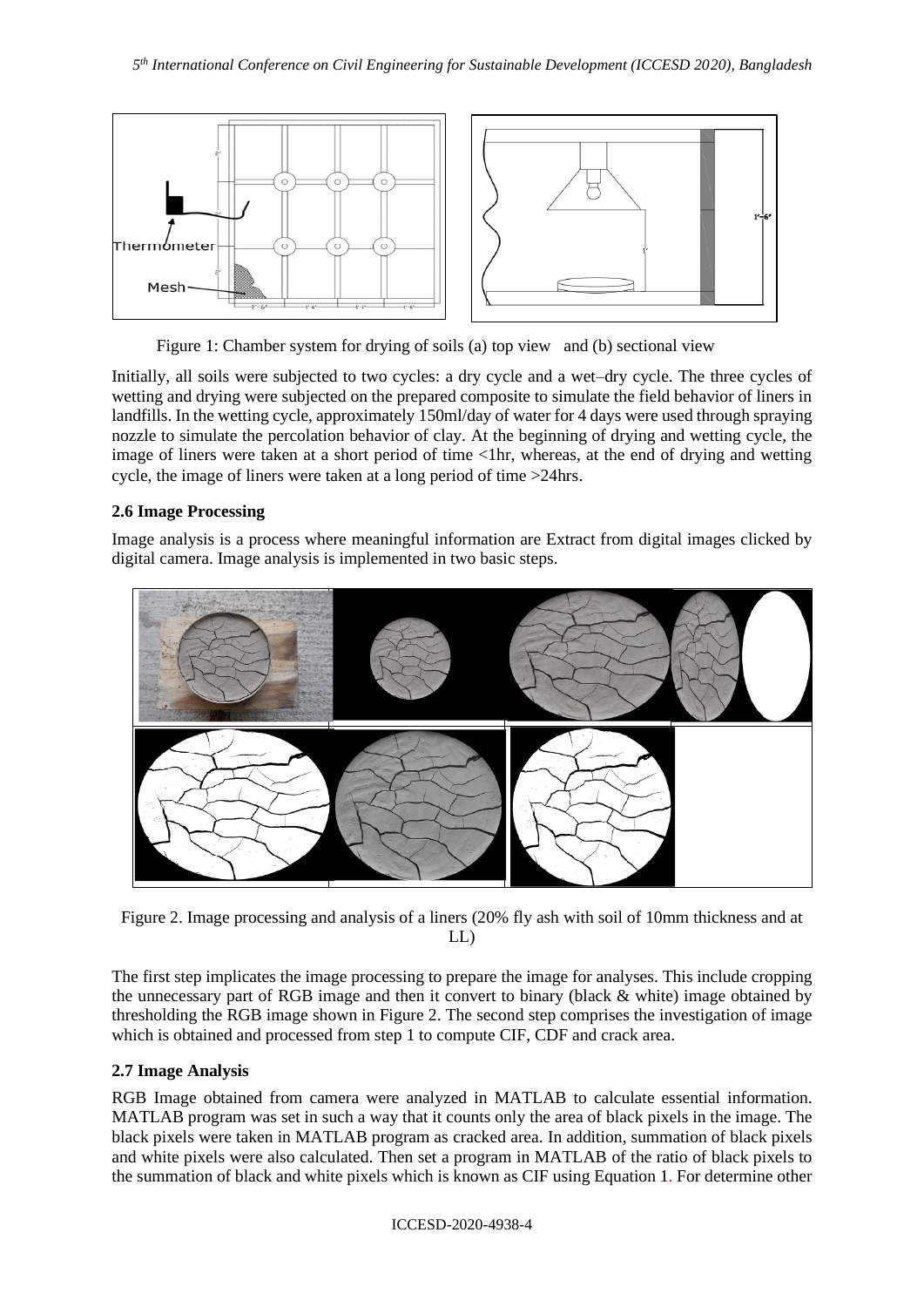

Figure 1: Chamber system for drying of soils (a) top view and (b) sectional view

Initially, all soils were subjected to two cycles: a dry cycle and a wet–dry cycle. The three cycles of wetting and drying were subjected on the prepared composite to simulate the field behavior of liners in landfills. In the wetting cycle, approximately 150ml/day of water for 4 days were used through spraying nozzle to simulate the percolation behavior of clay. At the beginning of drying and wetting cycle, the image of liners were taken at a short period of time <1hr, whereas, at the end of drying and wetting cycle, the image of liners were taken at a long period of time >24hrs.

## **2.6 Image Processing**

Image analysis is a process where meaningful information are Extract from digital images clicked by digital camera. Image analysis is implemented in two basic steps.



Figure 2. Image processing and analysis of a liners (20% fly ash with soil of 10mm thickness and at LL)

The first step implicates the image processing to prepare the image for analyses. This include cropping the unnecessary part of RGB image and then it convert to binary (black & white) image obtained by thresholding the RGB image shown in Figure 2. The second step comprises the investigation of image which is obtained and processed from step 1 to compute CIF, CDF and crack area.

## **2.7 Image Analysis**

RGB Image obtained from camera were analyzed in MATLAB to calculate essential information. MATLAB program was set in such a way that it counts only the area of black pixels in the image. The black pixels were taken in MATLAB program as cracked area. In addition, summation of black pixels and white pixels were also calculated. Then set a program in MATLAB of the ratio of black pixels to the summation of black and white pixels which is known as CIF using Equation 1. For determine other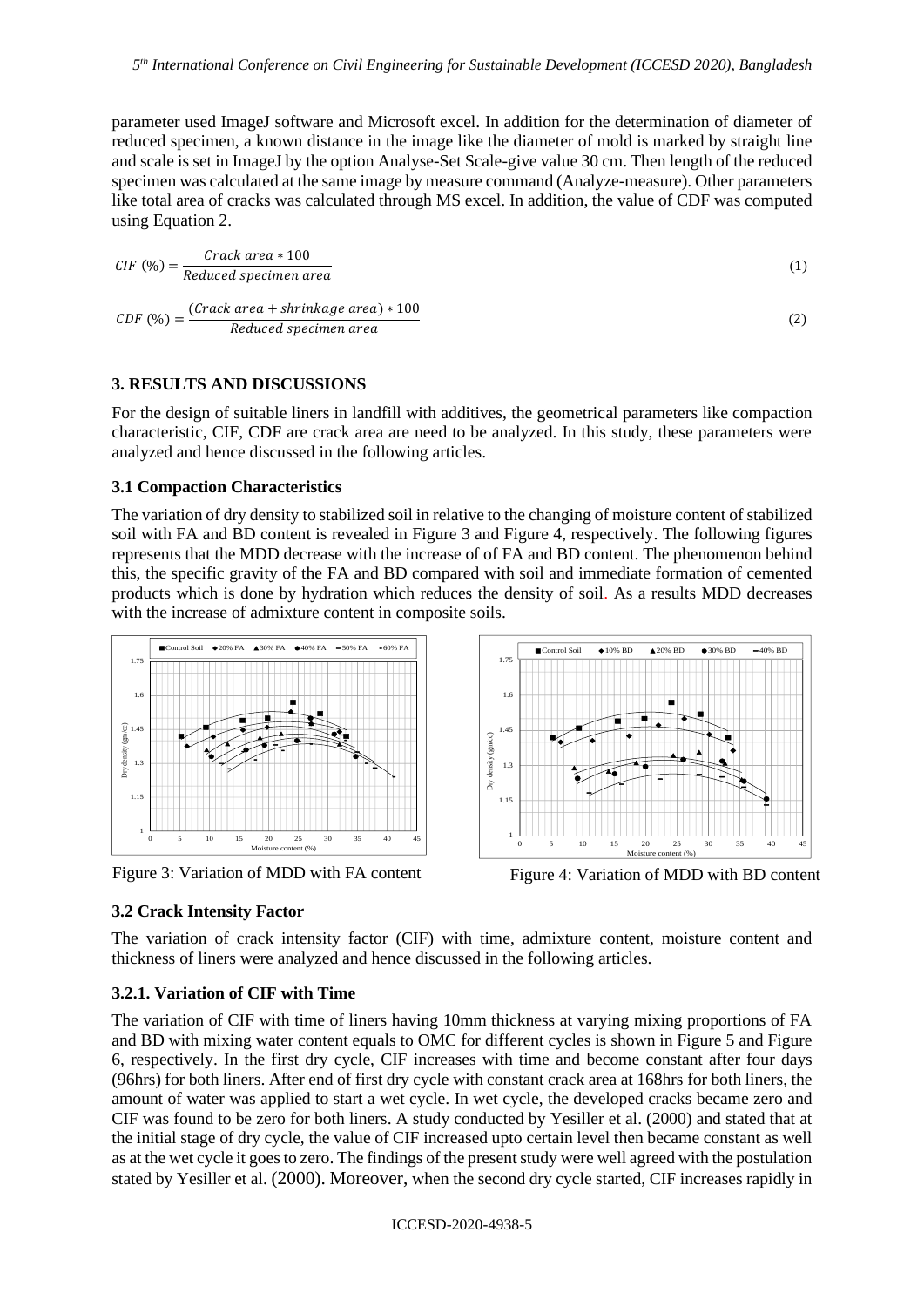parameter used ImageJ software and Microsoft excel. In addition for the determination of diameter of reduced specimen, a known distance in the image like the diameter of mold is marked by straight line and scale is set in ImageJ by the option Analyse-Set Scale-give value 30 cm. Then length of the reduced specimen was calculated at the same image by measure command (Analyze-measure). Other parameters like total area of cracks was calculated through MS excel. In addition, the value of CDF was computed using Equation 2.

$$
CIF\ (\%) = \frac{Crack\ area * 100}{Reduced\ specimen\ area} \tag{1}
$$

$$
CDF\ (\%) = \frac{(Crack\ area + shrinkage\ area) * 100}{Reduced\ specimen\ area} \tag{2}
$$

### **3. RESULTS AND DISCUSSIONS**

For the design of suitable liners in landfill with additives, the geometrical parameters like compaction characteristic, CIF, CDF are crack area are need to be analyzed. In this study, these parameters were analyzed and hence discussed in the following articles.

#### **3.1 Compaction Characteristics**

The variation of dry density to stabilized soil in relative to the changing of moisture content of stabilized soil with FA and BD content is revealed in Figure 3 and Figure 4, respectively. The following figures represents that the MDD decrease with the increase of of FA and BD content. The phenomenon behind this, the specific gravity of the FA and BD compared with soil and immediate formation of cemented products which is done by hydration which reduces the density of soil. As a results MDD decreases with the increase of admixture content in composite soils.



Figure 3: Variation of MDD with FA content Figure 4: Variation of MDD with BD content

### **3.2 Crack Intensity Factor**

The variation of crack intensity factor (CIF) with time, admixture content, moisture content and thickness of liners were analyzed and hence discussed in the following articles.

### **3.2.1. Variation of CIF with Time**

The variation of CIF with time of liners having 10mm thickness at varying mixing proportions of FA and BD with mixing water content equals to OMC for different cycles is shown in Figure 5 and Figure 6, respectively. In the first dry cycle, CIF increases with time and become constant after four days (96hrs) for both liners. After end of first dry cycle with constant crack area at 168hrs for both liners, the amount of water was applied to start a wet cycle. In wet cycle, the developed cracks became zero and CIF was found to be zero for both liners. A study conducted by Yesiller et al. (2000) and stated that at the initial stage of dry cycle, the value of CIF increased upto certain level then became constant as well as at the wet cycle it goes to zero. The findings of the present study were well agreed with the postulation stated by Yesiller et al. (2000). Moreover, when the second dry cycle started, CIF increases rapidly in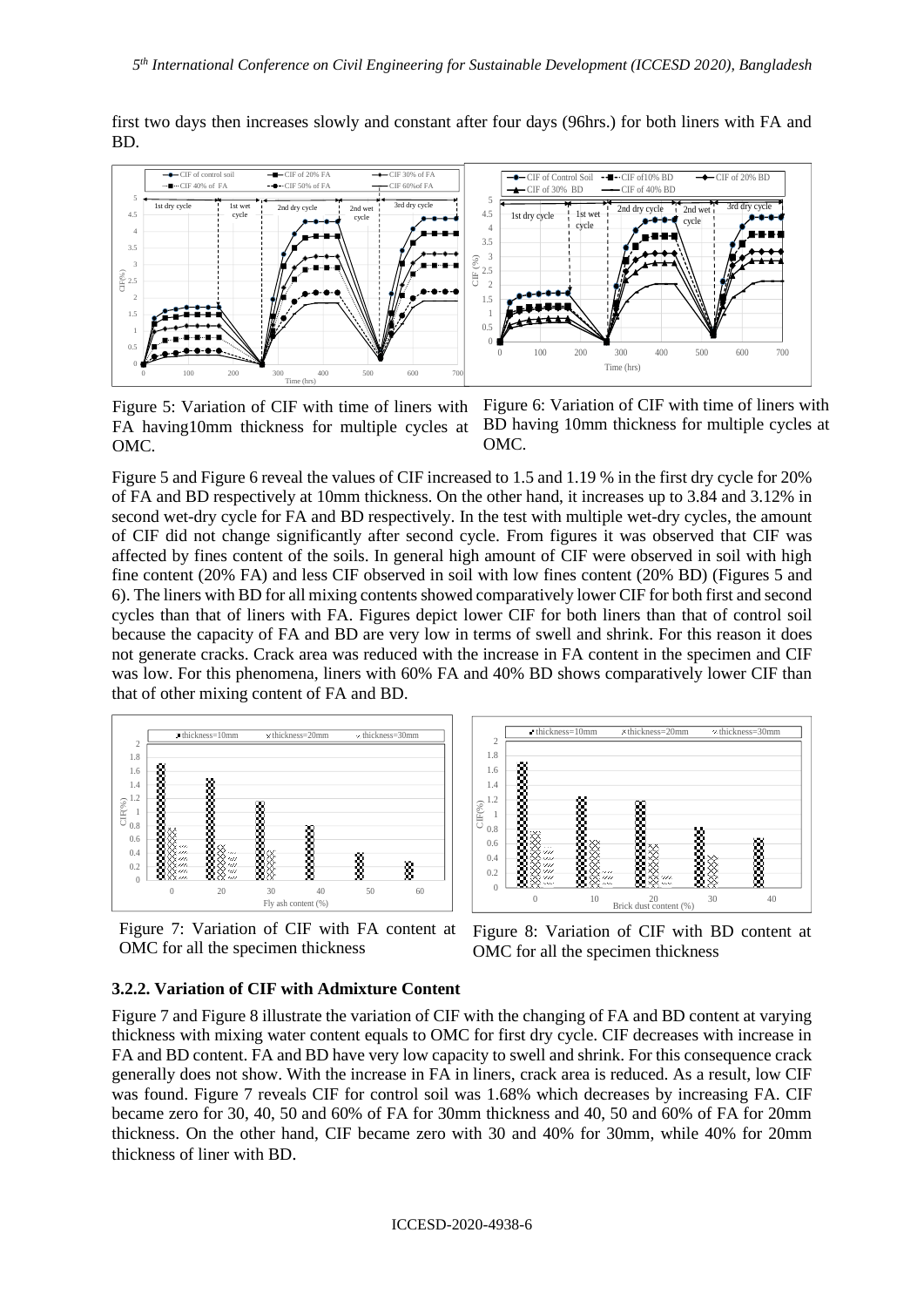first two days then increases slowly and constant after four days (96hrs.) for both liners with FA and BD.



Figure 5: Variation of CIF with time of liners with FA having10mm thickness for multiple cycles at OMC.

Figure 6: Variation of CIF with time of liners with BD having 10mm thickness for multiple cycles at OMC.

Figure 5 and Figure 6 reveal the values of CIF increased to 1.5 and 1.19 % in the first dry cycle for 20% of FA and BD respectively at 10mm thickness. On the other hand, it increases up to 3.84 and 3.12% in second wet-dry cycle for FA and BD respectively. In the test with multiple wet-dry cycles, the amount of CIF did not change significantly after second cycle. From figures it was observed that CIF was affected by fines content of the soils. In general high amount of CIF were observed in soil with high fine content (20% FA) and less CIF observed in soil with low fines content (20% BD) (Figures 5 and 6). The liners with BD for all mixing contents showed comparatively lower CIF for both first and second cycles than that of liners with FA. Figures depict lower CIF for both liners than that of control soil because the capacity of FA and BD are very low in terms of swell and shrink. For this reason it does not generate cracks. Crack area was reduced with the increase in FA content in the specimen and CIF was low. For this phenomena, liners with 60% FA and 40% BD shows comparatively lower CIF than that of other mixing content of FA and BD.



Figure 7: Variation of CIF with FA content at OMC for all the specimen thickness



Figure 8: Variation of CIF with BD content at OMC for all the specimen thickness

#### **3.2.2. Variation of CIF with Admixture Content**

Figure 7 and Figure 8 illustrate the variation of CIF with the changing of FA and BD content at varying thickness with mixing water content equals to OMC for first dry cycle. CIF decreases with increase in FA and BD content. FA and BD have very low capacity to swell and shrink. For this consequence crack generally does not show. With the increase in FA in liners, crack area is reduced. As a result, low CIF was found. Figure 7 reveals CIF for control soil was 1.68% which decreases by increasing FA. CIF became zero for 30, 40, 50 and 60% of FA for 30mm thickness and 40, 50 and 60% of FA for 20mm thickness. On the other hand, CIF became zero with 30 and 40% for 30mm, while 40% for 20mm thickness of liner with BD.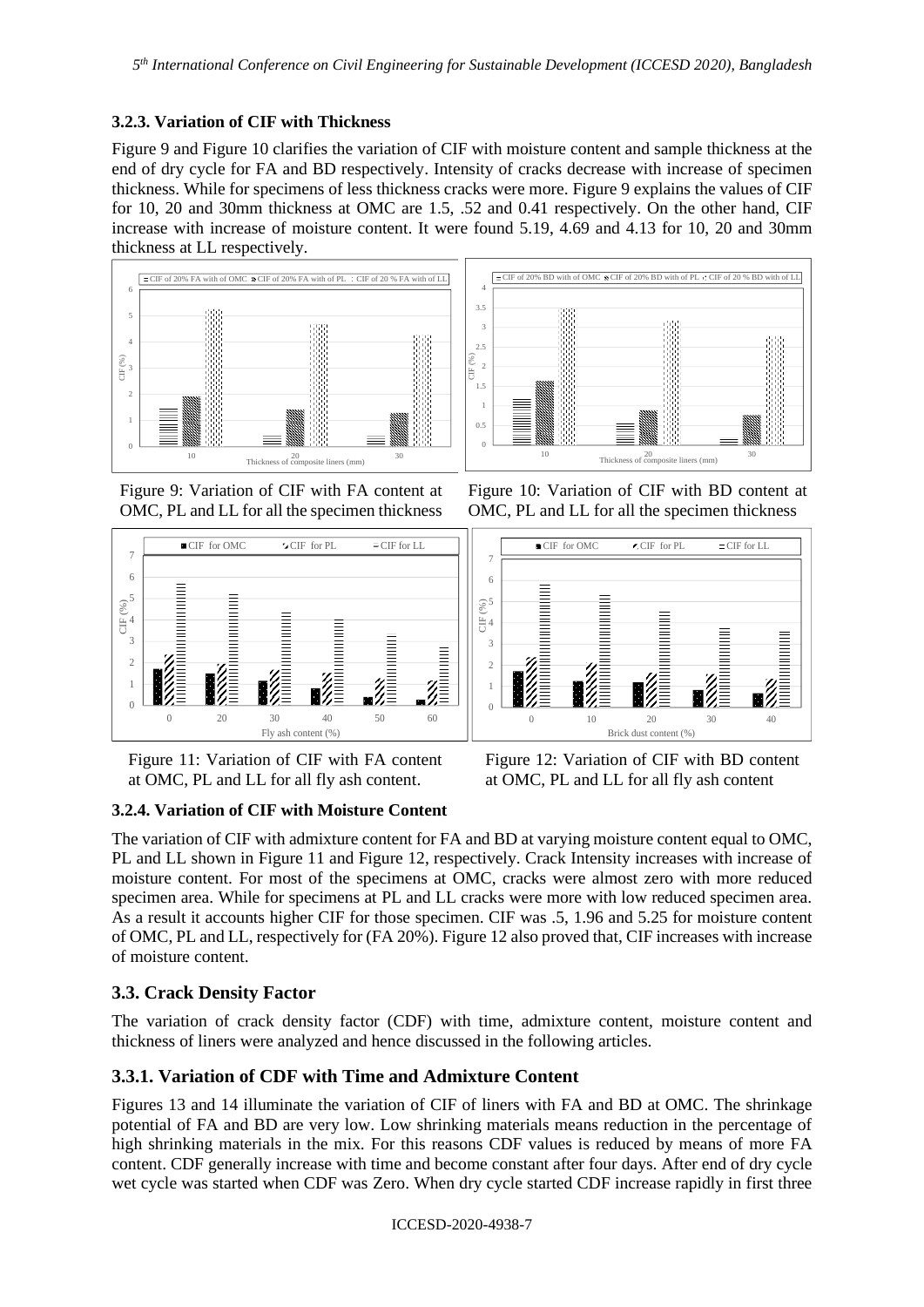## **3.2.3. Variation of CIF with Thickness**

Figure 9 and Figure 10 clarifies the variation of CIF with moisture content and sample thickness at the end of dry cycle for FA and BD respectively. Intensity of cracks decrease with increase of specimen thickness. While for specimens of less thickness cracks were more. Figure 9 explains the values of CIF for 10, 20 and 30mm thickness at OMC are 1.5, .52 and 0.41 respectively. On the other hand, CIF increase with increase of moisture content. It were found 5.19, 4.69 and 4.13 for 10, 20 and 30mm thickness at LL respectively.





Figure 9: Variation of CIF with FA content at OMC, PL and LL for all the specimen thickness



Figure 10: Variation of CIF with BD content at OMC, PL and LL for all the specimen thickness



Figure 11: Variation of CIF with FA content at OMC, PL and LL for all fly ash content.

Figure 12: Variation of CIF with BD content at OMC, PL and LL for all fly ash content

## **3.2.4. Variation of CIF with Moisture Content**

The variation of CIF with admixture content for FA and BD at varying moisture content equal to OMC, PL and LL shown in Figure 11 and Figure 12, respectively. Crack Intensity increases with increase of moisture content. For most of the specimens at OMC, cracks were almost zero with more reduced specimen area. While for specimens at PL and LL cracks were more with low reduced specimen area. As a result it accounts higher CIF for those specimen. CIF was .5, 1.96 and 5.25 for moisture content of OMC, PL and LL, respectively for (FA 20%). Figure 12 also proved that, CIF increases with increase of moisture content.

# **3.3. Crack Density Factor**

The variation of crack density factor (CDF) with time, admixture content, moisture content and thickness of liners were analyzed and hence discussed in the following articles.

# **3.3.1. Variation of CDF with Time and Admixture Content**

Figures 13 and 14 illuminate the variation of CIF of liners with FA and BD at OMC. The shrinkage potential of FA and BD are very low. Low shrinking materials means reduction in the percentage of high shrinking materials in the mix. For this reasons CDF values is reduced by means of more FA content. CDF generally increase with time and become constant after four days. After end of dry cycle wet cycle was started when CDF was Zero. When dry cycle started CDF increase rapidly in first three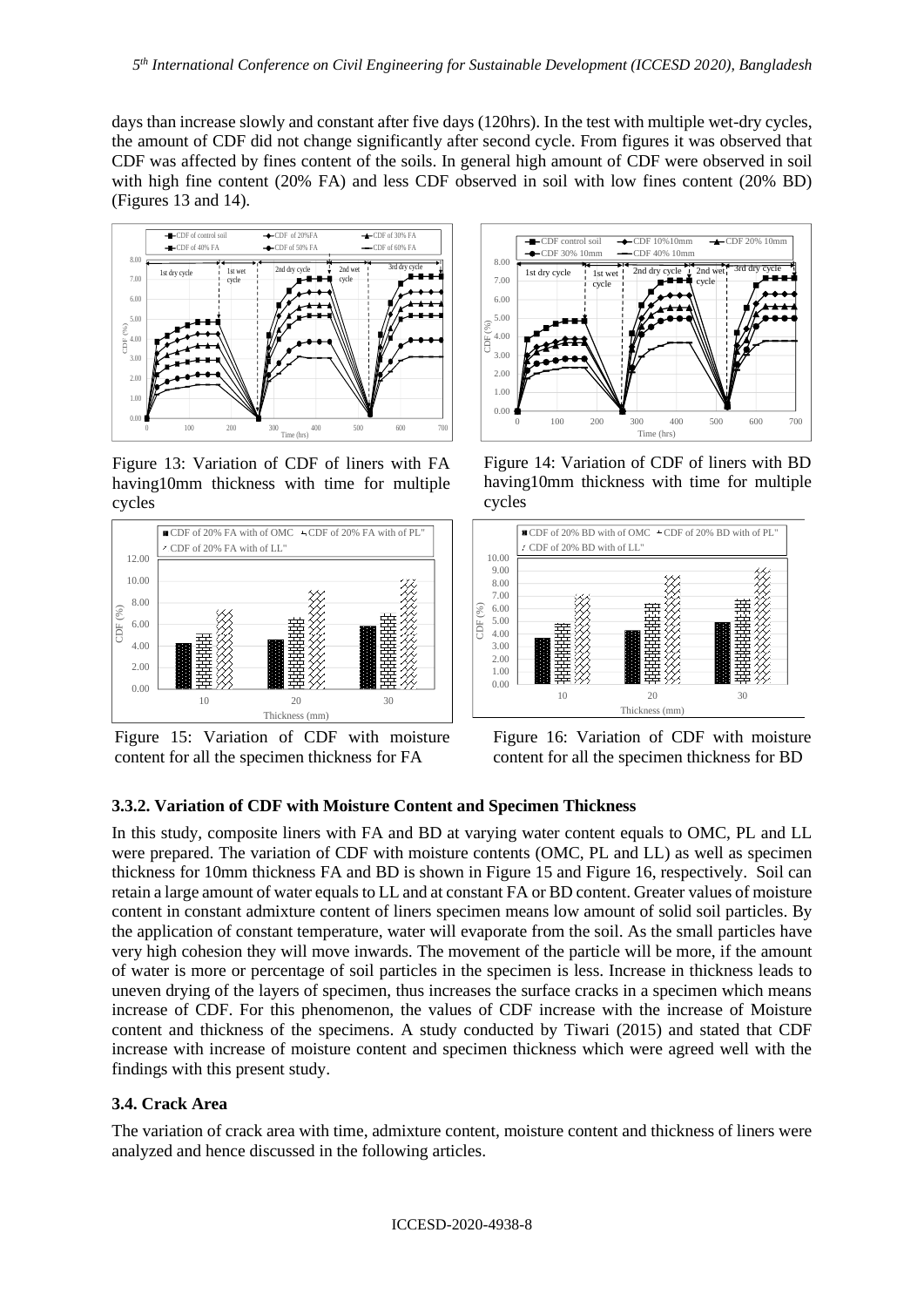days than increase slowly and constant after five days (120hrs). In the test with multiple wet-dry cycles, the amount of CDF did not change significantly after second cycle. From figures it was observed that CDF was affected by fines content of the soils. In general high amount of CDF were observed in soil with high fine content (20% FA) and less CDF observed in soil with low fines content (20% BD) (Figures 13 and 14).



Figure 13: Variation of CDF of liners with FA having10mm thickness with time for multiple cycles



Figure 15: Variation of CDF with moisture content for all the specimen thickness for FA



Figure 14: Variation of CDF of liners with BD having10mm thickness with time for multiple cycles



Figure 16: Variation of CDF with moisture content for all the specimen thickness for BD

## **3.3.2. Variation of CDF with Moisture Content and Specimen Thickness**

In this study, composite liners with FA and BD at varying water content equals to OMC, PL and LL were prepared. The variation of CDF with moisture contents (OMC, PL and LL) as well as specimen thickness for 10mm thickness FA and BD is shown in Figure 15 and Figure 16, respectively. Soil can retain a large amount of water equals to LL and at constant FA or BD content. Greater values of moisture content in constant admixture content of liners specimen means low amount of solid soil particles. By the application of constant temperature, water will evaporate from the soil. As the small particles have very high cohesion they will move inwards. The movement of the particle will be more, if the amount of water is more or percentage of soil particles in the specimen is less. Increase in thickness leads to uneven drying of the layers of specimen, thus increases the surface cracks in a specimen which means increase of CDF. For this phenomenon, the values of CDF increase with the increase of Moisture content and thickness of the specimens. A study conducted by Tiwari (2015) and stated that CDF increase with increase of moisture content and specimen thickness which were agreed well with the findings with this present study.

### **3.4. Crack Area**

The variation of crack area with time, admixture content, moisture content and thickness of liners were analyzed and hence discussed in the following articles.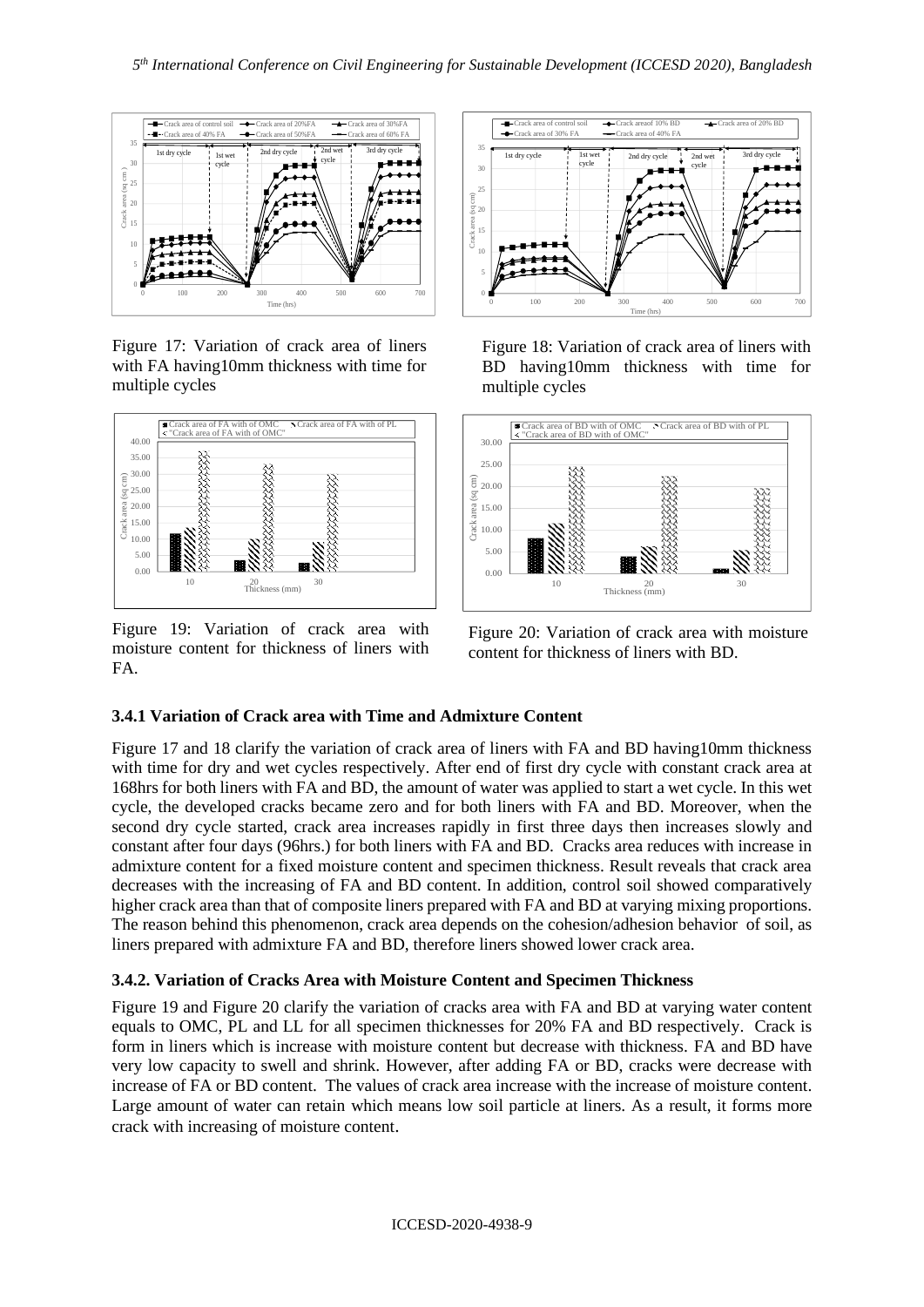

Figure 17: Variation of crack area of liners with FA having10mm thickness with time for multiple cycles



Figure 19: Variation of crack area with moisture content for thickness of liners with FA.



Figure 18: Variation of crack area of liners with BD having10mm thickness with time for multiple cycles



Figure 20: Variation of crack area with moisture content for thickness of liners with BD.

## **3.4.1 Variation of Crack area with Time and Admixture Content**

Figure 17 and 18 clarify the variation of crack area of liners with FA and BD having10mm thickness with time for dry and wet cycles respectively. After end of first dry cycle with constant crack area at 168hrs for both liners with FA and BD, the amount of water was applied to start a wet cycle. In this wet cycle, the developed cracks became zero and for both liners with FA and BD. Moreover, when the second dry cycle started, crack area increases rapidly in first three days then increases slowly and constant after four days (96hrs.) for both liners with FA and BD. Cracks area reduces with increase in admixture content for a fixed moisture content and specimen thickness. Result reveals that crack area decreases with the increasing of FA and BD content. In addition, control soil showed comparatively higher crack area than that of composite liners prepared with FA and BD at varying mixing proportions. The reason behind this phenomenon, crack area depends on the cohesion/adhesion behavior of soil, as liners prepared with admixture FA and BD, therefore liners showed lower crack area.

## **3.4.2. Variation of Cracks Area with Moisture Content and Specimen Thickness**

Figure 19 and Figure 20 clarify the variation of cracks area with FA and BD at varying water content equals to OMC, PL and LL for all specimen thicknesses for 20% FA and BD respectively. Crack is form in liners which is increase with moisture content but decrease with thickness. FA and BD have very low capacity to swell and shrink. However, after adding FA or BD, cracks were decrease with increase of FA or BD content. The values of crack area increase with the increase of moisture content. Large amount of water can retain which means low soil particle at liners. As a result, it forms more crack with increasing of moisture content.